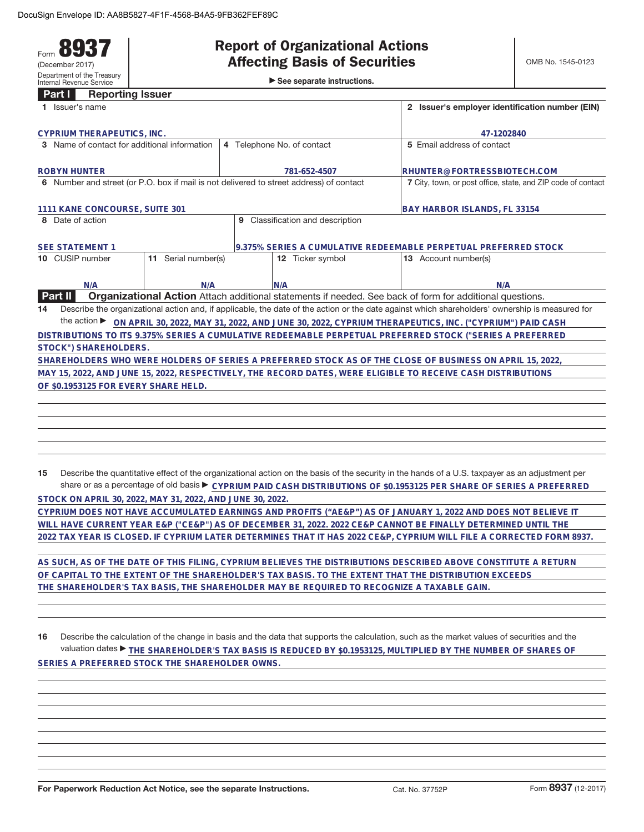**Part I Reporting Issuer**

#### Form **8937** (December 2017) Department of the Treasury Internal Revenue Service

# **Report of Organizational Actions**

►<br>► See separate instructions.

| ганн<br><b>UChnimid Issuel</b><br>1 Issuer's name                                                            | 2 Issuer's employer identification number (EIN)                                                          |                                                                                                                                                 |  |  |  |
|--------------------------------------------------------------------------------------------------------------|----------------------------------------------------------------------------------------------------------|-------------------------------------------------------------------------------------------------------------------------------------------------|--|--|--|
| <b>CYPRIUM THERAPEUTICS, INC.</b>                                                                            |                                                                                                          | 47-1202840                                                                                                                                      |  |  |  |
| 3 Name of contact for additional information                                                                 | 4 Telephone No. of contact                                                                               | 5 Email address of contact                                                                                                                      |  |  |  |
| <b>ROBYN HUNTER</b>                                                                                          | 781-652-4507                                                                                             | RHUNTER@FORTRESSBIOTECH.COM                                                                                                                     |  |  |  |
| 6 Number and street (or P.O. box if mail is not delivered to street address) of contact                      |                                                                                                          | 7 City, town, or post office, state, and ZIP code of contact                                                                                    |  |  |  |
| 1111 KANE CONCOURSE, SUITE 301                                                                               | BAY HARBOR ISLANDS, FL 33154                                                                             |                                                                                                                                                 |  |  |  |
| 8 Date of action                                                                                             | Classification and description<br>9                                                                      |                                                                                                                                                 |  |  |  |
| <b>SEE STATEMENT 1</b>                                                                                       |                                                                                                          | 9.375% SERIES A CUMULATIVE REDEEMABLE PERPETUAL PREFERRED STOCK                                                                                 |  |  |  |
| 11 Serial number(s)<br>10 CUSIP number                                                                       | 12 Ticker symbol                                                                                         | 13 Account number(s)                                                                                                                            |  |  |  |
| N/A<br>N/A                                                                                                   | N/A                                                                                                      | N/A                                                                                                                                             |  |  |  |
| <b>Part II</b>                                                                                               | Organizational Action Attach additional statements if needed. See back of form for additional questions. |                                                                                                                                                 |  |  |  |
| 14                                                                                                           |                                                                                                          | Describe the organizational action and, if applicable, the date of the action or the date against which shareholders' ownership is measured for |  |  |  |
| the action $\blacktriangleright$                                                                             |                                                                                                          | ON APRIL 30, 2022, MAY 31, 2022, AND JUNE 30, 2022, CYPRIUM THERAPEUTICS, INC. ("CYPRIUM") PAID CASH                                            |  |  |  |
| DISTRIBUTIONS TO ITS 9.375% SERIES A CUMULATIVE REDEEMABLE PERPETUAL PREFERRED STOCK ("SERIES A PREFERRED    |                                                                                                          |                                                                                                                                                 |  |  |  |
| STOCK") SHAREHOLDERS.                                                                                        |                                                                                                          |                                                                                                                                                 |  |  |  |
| SHAREHOLDERS WHO WERE HOLDERS OF SERIES A PREFERRED STOCK AS OF THE CLOSE OF BUSINESS ON APRIL 15, 2022.     |                                                                                                          |                                                                                                                                                 |  |  |  |
| MAY 15, 2022, AND JUNE 15, 2022, RESPECTIVELY, THE RECORD DATES, WERE ELIGIBLE TO RECEIVE CASH DISTRIBUTIONS |                                                                                                          |                                                                                                                                                 |  |  |  |
| OF \$0.1953125 FOR EVERY SHARE HELD.                                                                         |                                                                                                          |                                                                                                                                                 |  |  |  |
|                                                                                                              |                                                                                                          |                                                                                                                                                 |  |  |  |
|                                                                                                              |                                                                                                          |                                                                                                                                                 |  |  |  |

**15** Describe the quantitative effect of the organizational action on the basis of the security in the hands of a U.S. taxpayer as an adjustment per share or as a percentage of old basis ▶ CYPRIUM PAID CASH DISTRIBUTIONS OF \$0.1953125 PER SHARE OF SERIES A PREFERRED

**STOCK ON APRIL 30, 2022, MAY 31, 2022, AND JUNE 30, 2022. CYPRIUM DOES NOT HAVE ACCUMULATED EARNINGS AND PROFITS ("AE&P") AS OF JANUARY 1, 2022 AND DOES NOT BELIEVE IT WILL HAVE CURRENT YEAR E&P ("CE&P") AS OF DECEMBER 31, 2022. 2022 CE&P CANNOT BE FINALLY DETERMINED UNTIL THE 2022 TAX YEAR IS CLOSED. IF CYPRIUM LATER DETERMINES THAT IT HAS 2022 CE&P, CYPRIUM WILL FILE A CORRECTED FORM 8937.**

**AS SUCH, AS OF THE DATE OF THIS FILING, CYPRIUM BELIEVES THE DISTRIBUTIONS DESCRIBED ABOVE CONSTITUTE A RETURN OF CAPITAL TO THE EXTENT OF THE SHAREHOLDER'S TAX BASIS. TO THE EXTENT THAT THE DISTRIBUTION EXCEEDS THE SHAREHOLDER'S TAX BASIS, THE SHAREHOLDER MAY BE REQUIRED TO RECOGNIZE A TAXABLE GAIN.**

**16** Describe the calculation of the change in basis and the data that supports the calculation, such as the market values of securities and the valuation dates ▶ THE SHAREHOLDER'S TAX BASIS IS REDUCED BY \$0.1953125, MULTIPLIED BY THE NUMBER OF SHARES OF **SERIES A PREFERRED STOCK THE SHAREHOLDER OWNS.**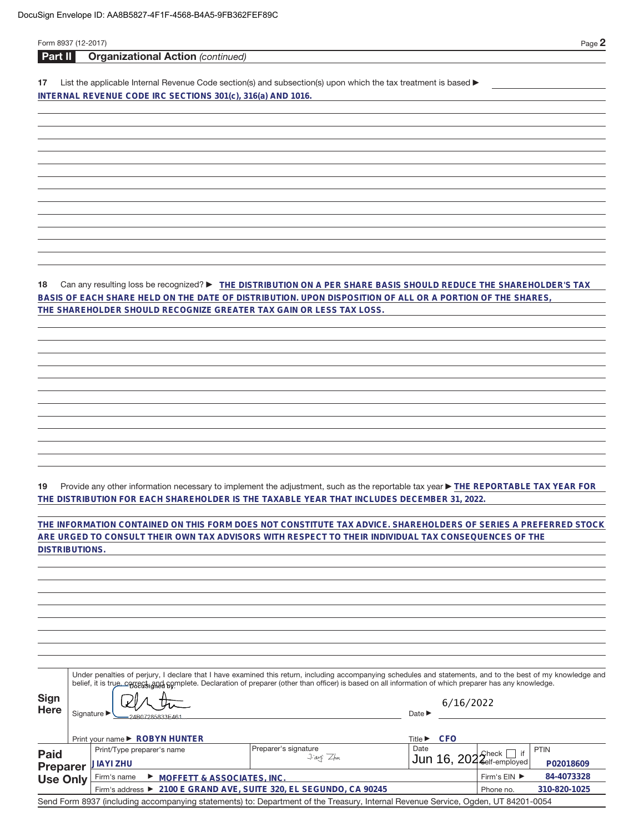| Form 8937 (12-2017)   |                                                                                                                                                              |                                           |                            |            |                            | Page 2      |
|-----------------------|--------------------------------------------------------------------------------------------------------------------------------------------------------------|-------------------------------------------|----------------------------|------------|----------------------------|-------------|
| Part II               | <b>Organizational Action (continued)</b>                                                                                                                     |                                           |                            |            |                            |             |
| 17                    | List the applicable Internal Revenue Code section(s) and subsection(s) upon which the tax treatment is based ▶                                               |                                           |                            |            |                            |             |
|                       | INTERNAL REVENUE CODE IRC SECTIONS 301(c), 316(a) AND 1016.                                                                                                  |                                           |                            |            |                            |             |
|                       |                                                                                                                                                              |                                           |                            |            |                            |             |
|                       |                                                                                                                                                              |                                           |                            |            |                            |             |
|                       |                                                                                                                                                              |                                           |                            |            |                            |             |
|                       |                                                                                                                                                              |                                           |                            |            |                            |             |
|                       |                                                                                                                                                              |                                           |                            |            |                            |             |
|                       |                                                                                                                                                              |                                           |                            |            |                            |             |
|                       |                                                                                                                                                              |                                           |                            |            |                            |             |
|                       |                                                                                                                                                              |                                           |                            |            |                            |             |
|                       |                                                                                                                                                              |                                           |                            |            |                            |             |
|                       |                                                                                                                                                              |                                           |                            |            |                            |             |
|                       |                                                                                                                                                              |                                           |                            |            |                            |             |
|                       |                                                                                                                                                              |                                           |                            |            |                            |             |
| 18                    | Can any resulting loss be recognized? ► THE DISTRIBUTION ON A PER SHARE BASIS SHOULD REDUCE THE SHAREHOLDER'S TAX                                            |                                           |                            |            |                            |             |
|                       | BASIS OF EACH SHARE HELD ON THE DATE OF DISTRIBUTION. UPON DISPOSITION OF ALL OR A PORTION OF THE SHARES,                                                    |                                           |                            |            |                            |             |
|                       | THE SHAREHOLDER SHOULD RECOGNIZE GREATER TAX GAIN OR LESS TAX LOSS.                                                                                          |                                           |                            |            |                            |             |
|                       |                                                                                                                                                              |                                           |                            |            |                            |             |
|                       |                                                                                                                                                              |                                           |                            |            |                            |             |
|                       |                                                                                                                                                              |                                           |                            |            |                            |             |
|                       |                                                                                                                                                              |                                           |                            |            |                            |             |
|                       |                                                                                                                                                              |                                           |                            |            |                            |             |
|                       |                                                                                                                                                              |                                           |                            |            |                            |             |
|                       |                                                                                                                                                              |                                           |                            |            |                            |             |
|                       |                                                                                                                                                              |                                           |                            |            |                            |             |
|                       |                                                                                                                                                              |                                           |                            |            |                            |             |
|                       |                                                                                                                                                              |                                           |                            |            |                            |             |
|                       |                                                                                                                                                              |                                           |                            |            |                            |             |
| 19                    | Provide any other information necessary to implement the adjustment, such as the reportable tax year THE REPORTABLE TAX YEAR FOR                             |                                           |                            |            |                            |             |
|                       | THE DISTRIBUTION FOR EACH SHAREHOLDER IS THE TAXABLE YEAR THAT INCLUDES DECEMBER 31, 2022.                                                                   |                                           |                            |            |                            |             |
|                       |                                                                                                                                                              |                                           |                            |            |                            |             |
|                       | THE INFORMATION CONTAINED ON THIS FORM DOES NOT CONSTITUTE TAX ADVICE. SHAREHOLDERS OF SERIES A PREFERRED STOCK                                              |                                           |                            |            |                            |             |
| <b>DISTRIBUTIONS.</b> | ARE URGED TO CONSULT THEIR OWN TAX ADVISORS WITH RESPECT TO THEIR INDIVIDUAL TAX CONSEQUENCES OF THE                                                         |                                           |                            |            |                            |             |
|                       |                                                                                                                                                              |                                           |                            |            |                            |             |
|                       |                                                                                                                                                              |                                           |                            |            |                            |             |
|                       |                                                                                                                                                              |                                           |                            |            |                            |             |
|                       |                                                                                                                                                              |                                           |                            |            |                            |             |
|                       |                                                                                                                                                              |                                           |                            |            |                            |             |
|                       |                                                                                                                                                              |                                           |                            |            |                            |             |
|                       |                                                                                                                                                              |                                           |                            |            |                            |             |
|                       |                                                                                                                                                              |                                           |                            |            |                            |             |
|                       | Under penalties of perjury, I declare that I have examined this return, including accompanying schedules and statements, and to the best of my knowledge and |                                           |                            |            |                            |             |
|                       | belief, it is true, cotsers and somplete. Declaration of preparer (other than officer) is based on all information of which preparer has any knowledge.      |                                           |                            |            |                            |             |
| <b>Sign</b>           |                                                                                                                                                              |                                           |                            | 6/16/2022  |                            |             |
| <b>Here</b>           | Signature ▶<br>24B07285833E46                                                                                                                                |                                           | Date $\blacktriangleright$ |            |                            |             |
|                       |                                                                                                                                                              |                                           |                            |            |                            |             |
|                       | Print your name ▶ ROBYN HUNTER                                                                                                                               |                                           |                            | Title▶ CFO |                            |             |
| <b>Paid</b>           | Print/Type preparer's name                                                                                                                                   | Preparer's signature<br>$1.20 \times 70.$ | Date                       |            | if<br>$\mathsf{Check}\mid$ | <b>PTIN</b> |

| <b>Paid</b>                                                                                                                       | <b>Fillit's type preparer's hang-</b>                              | ι ισμαισι ο οιγιιαιωισ<br>$J$ ayi $Z_{hn}$ | $\frac{1}{2}$ un 16, 202 $\frac{2}{2}$ elf-employed |                                    |              |
|-----------------------------------------------------------------------------------------------------------------------------------|--------------------------------------------------------------------|--------------------------------------------|-----------------------------------------------------|------------------------------------|--------------|
| Preparer JIAYI ZHU                                                                                                                |                                                                    |                                            |                                                     |                                    | P02018609    |
|                                                                                                                                   | Use Only Firm's name > MOFFETT & ASSOCIATES, INC.                  |                                            |                                                     | Firm's $EIN$ $\blacktriangleright$ | 84-4073328   |
|                                                                                                                                   | Firm's address ▶ 2100 E GRAND AVE, SUITE 320, EL SEGUNDO, CA 90245 |                                            |                                                     | Phone no.                          | 310-820-1025 |
| Send Form 8937 (including accompanying statements) to: Department of the Treasury, Internal Revenue Service, Ogden, UT 84201-0054 |                                                                    |                                            |                                                     |                                    |              |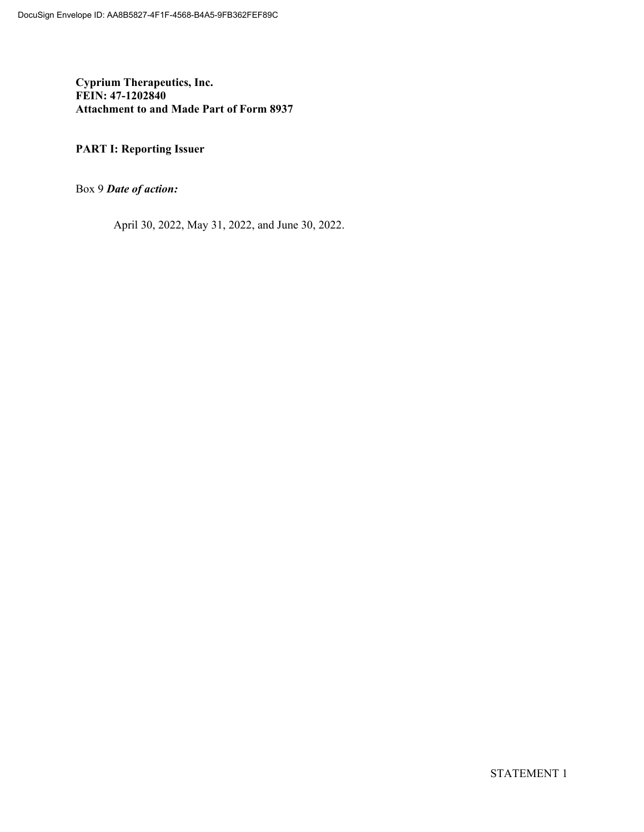**Cyprium Therapeutics, Inc. FEIN: 47-1202840 Attachment to and Made Part of Form 8937**

### **PART I: Reporting Issuer**

Box 9 *Date of action:*

April 30, 2022, May 31, 2022, and June 30, 2022.